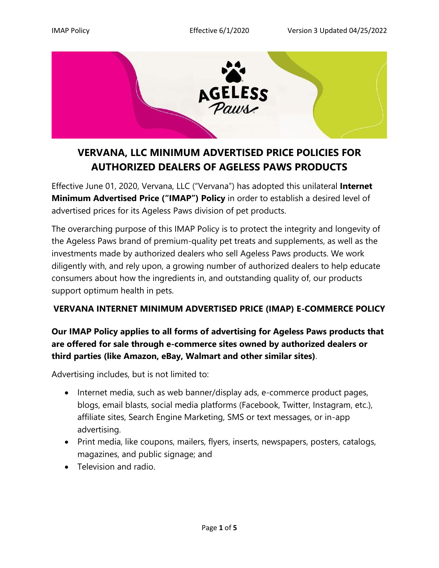

# **VERVANA, LLC MINIMUM ADVERTISED PRICE POLICIES FOR AUTHORIZED DEALERS OF AGELESS PAWS PRODUCTS**

Effective June 01, 2020, Vervana, LLC ("Vervana") has adopted this unilateral **Internet Minimum Advertised Price ("IMAP") Policy** in order to establish a desired level of advertised prices for its Ageless Paws division of pet products.

The overarching purpose of this IMAP Policy is to protect the integrity and longevity of the Ageless Paws brand of premium-quality pet treats and supplements, as well as the investments made by authorized dealers who sell Ageless Paws products. We work diligently with, and rely upon, a growing number of authorized dealers to help educate consumers about how the ingredients in, and outstanding quality of, our products support optimum health in pets.

## **VERVANA INTERNET MINIMUM ADVERTISED PRICE (IMAP) E-COMMERCE POLICY**

# **Our IMAP Policy applies to all forms of advertising for Ageless Paws products that are offered for sale through e-commerce sites owned by authorized dealers or third parties (like Amazon, eBay, Walmart and other similar sites)**.

Advertising includes, but is not limited to:

- Internet media, such as web banner/display ads, e-commerce product pages, blogs, email blasts, social media platforms (Facebook, Twitter, Instagram, etc.), affiliate sites, Search Engine Marketing, SMS or text messages, or in-app advertising.
- Print media, like coupons, mailers, flyers, inserts, newspapers, posters, catalogs, magazines, and public signage; and
- Television and radio.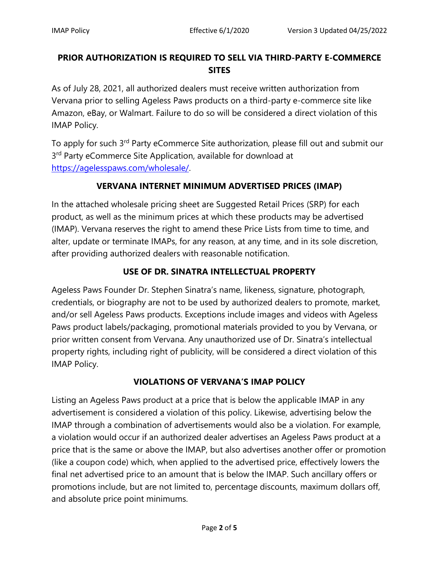# **PRIOR AUTHORIZATION IS REQUIRED TO SELL VIA THIRD-PARTY E-COMMERCE SITES**

As of July 28, 2021, all authorized dealers must receive written authorization from Vervana prior to selling Ageless Paws products on a third-party e-commerce site like Amazon, eBay, or Walmart. Failure to do so will be considered a direct violation of this IMAP Policy.

To apply for such 3<sup>rd</sup> Party eCommerce Site authorization, please fill out and submit our 3<sup>rd</sup> Party eCommerce Site Application, available for download at [https://agelesspaws.com/wholesale/.](https://agelesspaws.com/wholesale/)

# **VERVANA INTERNET MINIMUM ADVERTISED PRICES (IMAP)**

In the attached wholesale pricing sheet are Suggested Retail Prices (SRP) for each product, as well as the minimum prices at which these products may be advertised (IMAP). Vervana reserves the right to amend these Price Lists from time to time, and alter, update or terminate IMAPs, for any reason, at any time, and in its sole discretion, after providing authorized dealers with reasonable notification.

# **USE OF DR. SINATRA INTELLECTUAL PROPERTY**

Ageless Paws Founder Dr. Stephen Sinatra's name, likeness, signature, photograph, credentials, or biography are not to be used by authorized dealers to promote, market, and/or sell Ageless Paws products. Exceptions include images and videos with Ageless Paws product labels/packaging, promotional materials provided to you by Vervana, or prior written consent from Vervana. Any unauthorized use of Dr. Sinatra's intellectual property rights, including right of publicity, will be considered a direct violation of this IMAP Policy.

## **VIOLATIONS OF VERVANA'S IMAP POLICY**

Listing an Ageless Paws product at a price that is below the applicable IMAP in any advertisement is considered a violation of this policy. Likewise, advertising below the IMAP through a combination of advertisements would also be a violation. For example, a violation would occur if an authorized dealer advertises an Ageless Paws product at a price that is the same or above the IMAP, but also advertises another offer or promotion (like a coupon code) which, when applied to the advertised price, effectively lowers the final net advertised price to an amount that is below the IMAP. Such ancillary offers or promotions include, but are not limited to, percentage discounts, maximum dollars off, and absolute price point minimums.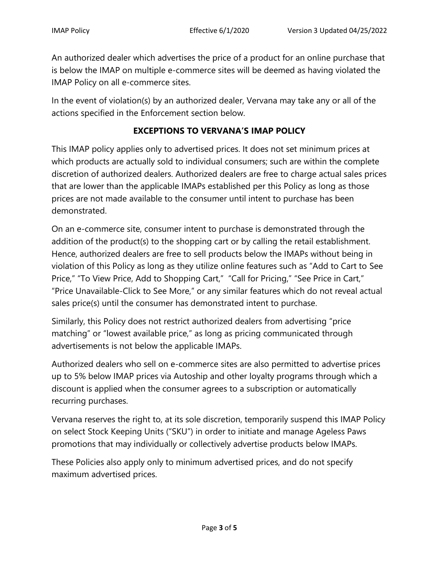An authorized dealer which advertises the price of a product for an online purchase that is below the IMAP on multiple e-commerce sites will be deemed as having violated the IMAP Policy on all e-commerce sites.

In the event of violation(s) by an authorized dealer, Vervana may take any or all of the actions specified in the Enforcement section below.

## **EXCEPTIONS TO VERVANA'S IMAP POLICY**

This IMAP policy applies only to advertised prices. It does not set minimum prices at which products are actually sold to individual consumers; such are within the complete discretion of authorized dealers. Authorized dealers are free to charge actual sales prices that are lower than the applicable IMAPs established per this Policy as long as those prices are not made available to the consumer until intent to purchase has been demonstrated.

On an e-commerce site, consumer intent to purchase is demonstrated through the addition of the product(s) to the shopping cart or by calling the retail establishment. Hence, authorized dealers are free to sell products below the IMAPs without being in violation of this Policy as long as they utilize online features such as "Add to Cart to See Price," "To View Price, Add to Shopping Cart," "Call for Pricing," "See Price in Cart," "Price Unavailable-Click to See More," or any similar features which do not reveal actual sales price(s) until the consumer has demonstrated intent to purchase.

Similarly, this Policy does not restrict authorized dealers from advertising "price matching" or "lowest available price," as long as pricing communicated through advertisements is not below the applicable IMAPs.

Authorized dealers who sell on e-commerce sites are also permitted to advertise prices up to 5% below IMAP prices via Autoship and other loyalty programs through which a discount is applied when the consumer agrees to a subscription or automatically recurring purchases.

Vervana reserves the right to, at its sole discretion, temporarily suspend this IMAP Policy on select Stock Keeping Units ("SKU") in order to initiate and manage Ageless Paws promotions that may individually or collectively advertise products below IMAPs.

These Policies also apply only to minimum advertised prices, and do not specify maximum advertised prices.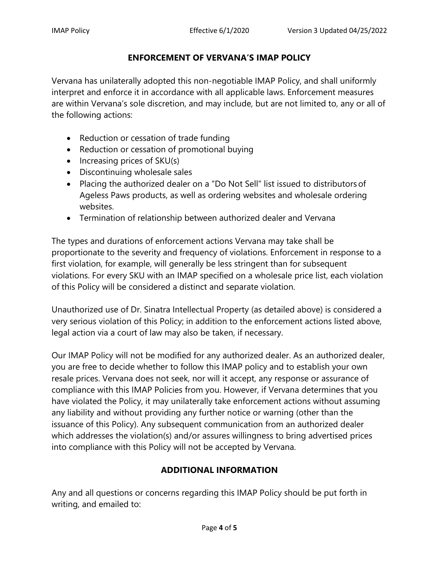## **ENFORCEMENT OF VERVANA'S IMAP POLICY**

Vervana has unilaterally adopted this non-negotiable IMAP Policy, and shall uniformly interpret and enforce it in accordance with all applicable laws. Enforcement measures are within Vervana's sole discretion, and may include, but are not limited to, any or all of the following actions:

- Reduction or cessation of trade funding
- Reduction or cessation of promotional buying
- $\bullet$  Increasing prices of SKU(s)
- Discontinuing wholesale sales
- Placing the authorized dealer on a "Do Not Sell" list issued to distributorsof Ageless Paws products, as well as ordering websites and wholesale ordering websites.
- Termination of relationship between authorized dealer and Vervana

The types and durations of enforcement actions Vervana may take shall be proportionate to the severity and frequency of violations. Enforcement in response to a first violation, for example, will generally be less stringent than for subsequent violations. For every SKU with an IMAP specified on a wholesale price list, each violation of this Policy will be considered a distinct and separate violation.

Unauthorized use of Dr. Sinatra Intellectual Property (as detailed above) is considered a very serious violation of this Policy; in addition to the enforcement actions listed above, legal action via a court of law may also be taken, if necessary.

Our IMAP Policy will not be modified for any authorized dealer. As an authorized dealer, you are free to decide whether to follow this IMAP policy and to establish your own resale prices. Vervana does not seek, nor will it accept, any response or assurance of compliance with this IMAP Policies from you. However, if Vervana determines that you have violated the Policy, it may unilaterally take enforcement actions without assuming any liability and without providing any further notice or warning (other than the issuance of this Policy). Any subsequent communication from an authorized dealer which addresses the violation(s) and/or assures willingness to bring advertised prices into compliance with this Policy will not be accepted by Vervana.

## **ADDITIONAL INFORMATION**

Any and all questions or concerns regarding this IMAP Policy should be put forth in writing, and emailed to: